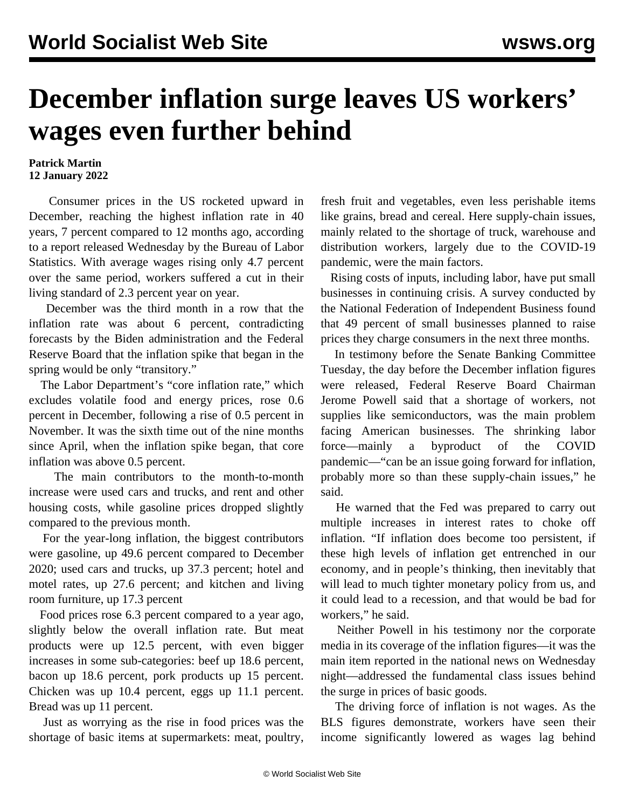## **December inflation surge leaves US workers' wages even further behind**

## **Patrick Martin 12 January 2022**

 Consumer prices in the US rocketed upward in December, reaching the highest inflation rate in 40 years, 7 percent compared to 12 months ago, according to a report released Wednesday by the Bureau of Labor Statistics. With average wages rising only 4.7 percent over the same period, workers suffered a cut in their living standard of 2.3 percent year on year.

 December was the third month in a row that the inflation rate was about 6 percent, contradicting forecasts by the Biden administration and the Federal Reserve Board that the inflation spike that began in the spring would be only "transitory."

 The Labor Department's "core inflation rate," which excludes volatile food and energy prices, rose 0.6 percent in December, following a rise of 0.5 percent in November. It was the sixth time out of the nine months since April, when the inflation spike began, that core inflation was above 0.5 percent.

 The main contributors to the month-to-month increase were used cars and trucks, and rent and other housing costs, while gasoline prices dropped slightly compared to the previous month.

 For the year-long inflation, the biggest contributors were gasoline, up 49.6 percent compared to December 2020; used cars and trucks, up 37.3 percent; hotel and motel rates, up 27.6 percent; and kitchen and living room furniture, up 17.3 percent

 Food prices rose 6.3 percent compared to a year ago, slightly below the overall inflation rate. But meat products were up 12.5 percent, with even bigger increases in some sub-categories: beef up 18.6 percent, bacon up 18.6 percent, pork products up 15 percent. Chicken was up 10.4 percent, eggs up 11.1 percent. Bread was up 11 percent.

 Just as worrying as the rise in food prices was the shortage of basic items at supermarkets: meat, poultry, fresh fruit and vegetables, even less perishable items like grains, bread and cereal. Here supply-chain issues, mainly related to the shortage of truck, warehouse and distribution workers, largely due to the COVID-19 pandemic, were the main factors.

 Rising costs of inputs, including labor, have put small businesses in continuing crisis. A survey conducted by the National Federation of Independent Business found that 49 percent of small businesses planned to raise prices they charge consumers in the next three months.

 In testimony before the Senate Banking Committee Tuesday, the day before the December inflation figures were released, Federal Reserve Board Chairman Jerome Powell said that a shortage of workers, not supplies like semiconductors, was the main problem facing American businesses. The shrinking labor force—mainly a byproduct of the COVID pandemic—"can be an issue going forward for inflation, probably more so than these supply-chain issues," he said.

 He warned that the Fed was prepared to carry out multiple increases in interest rates to choke off inflation. "If inflation does become too persistent, if these high levels of inflation get entrenched in our economy, and in people's thinking, then inevitably that will lead to much tighter monetary policy from us, and it could lead to a recession, and that would be bad for workers," he said.

 Neither Powell in his testimony nor the corporate media in its coverage of the inflation figures—it was the main item reported in the national news on Wednesday night—addressed the fundamental class issues behind the surge in prices of basic goods.

 The driving force of inflation is not wages. As the BLS figures demonstrate, workers have seen their income significantly lowered as wages lag behind